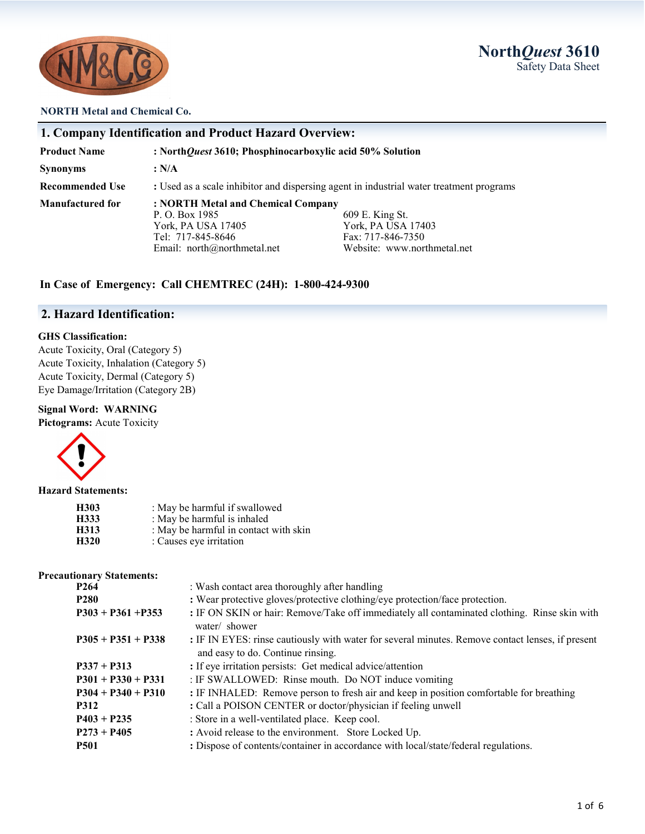

# **North***Quest* **3610** Safety Data Sheet

#### **NORTH Metal and Chemical Co.**

| 1. Company Identification and Product Hazard Overview: |                                                                                                                                                                                                                           |  |  |
|--------------------------------------------------------|---------------------------------------------------------------------------------------------------------------------------------------------------------------------------------------------------------------------------|--|--|
| <b>Product Name</b>                                    | : NorthQuest 3610; Phosphinocarboxylic acid 50% Solution                                                                                                                                                                  |  |  |
| <b>Synonyms</b>                                        | : N/A                                                                                                                                                                                                                     |  |  |
| <b>Recommended Use</b>                                 | : Used as a scale inhibitor and dispersing agent in industrial water treatment programs                                                                                                                                   |  |  |
| <b>Manufactured for</b>                                | : NORTH Metal and Chemical Company<br>P. O. Box 1985<br>609 E. King St.<br>York, PA USA 17403<br>York, PA USA 17405<br>Tel: 717-845-8646<br>Fax: 717-846-7350<br>Website: www.northmetal.net<br>Email: $north@normal.net$ |  |  |

### **In Case of Emergency: Call CHEMTREC (24H): 1-800-424-9300**

## **2. Hazard Identification:**

#### **GHS Classification:**

Acute Toxicity, Oral (Category 5) Acute Toxicity, Inhalation (Category 5) Acute Toxicity, Dermal (Category 5) Eye Damage/Irritation (Category 2B)

#### **Signal Word: WARNING**

**Pictograms:** Acute Toxicity



#### **Hazard Statements:**

| H303 | : May be harmful if swallowed         |
|------|---------------------------------------|
| H333 | : May be harmful is inhaled           |
| H313 | : May be harmful in contact with skin |
| H320 | : Causes eye irritation               |

#### **Precautionary Statements:**

| P <sub>264</sub>     | : Wash contact area thoroughly after handling                                                                                         |  |
|----------------------|---------------------------------------------------------------------------------------------------------------------------------------|--|
| <b>P280</b>          | : Wear protective gloves/protective clothing/eye protection/face protection.                                                          |  |
| $P303 + P361 + P353$ | : IF ON SKIN or hair: Remove/Take off immediately all contaminated clothing. Rinse skin with<br>water/ shower                         |  |
| $P305 + P351 + P338$ | : IF IN EYES: rinse cautiously with water for several minutes. Remove contact lenses, if present<br>and easy to do. Continue rinsing. |  |
| $P337 + P313$        | : If eye irritation persists: Get medical advice/attention                                                                            |  |
| $P301 + P330 + P331$ | : IF SWALLOWED: Rinse mouth. Do NOT induce vomiting                                                                                   |  |
| $P304 + P340 + P310$ | : IF INHALED: Remove person to fresh air and keep in position comfortable for breathing                                               |  |
| <b>P312</b>          | : Call a POISON CENTER or doctor/physician if feeling unwell                                                                          |  |
| $P403 + P235$        | : Store in a well-ventilated place. Keep cool.                                                                                        |  |
| $P273 + P405$        | : Avoid release to the environment. Store Locked Up.                                                                                  |  |
| <b>P501</b>          | : Dispose of contents/container in accordance with local/state/federal regulations.                                                   |  |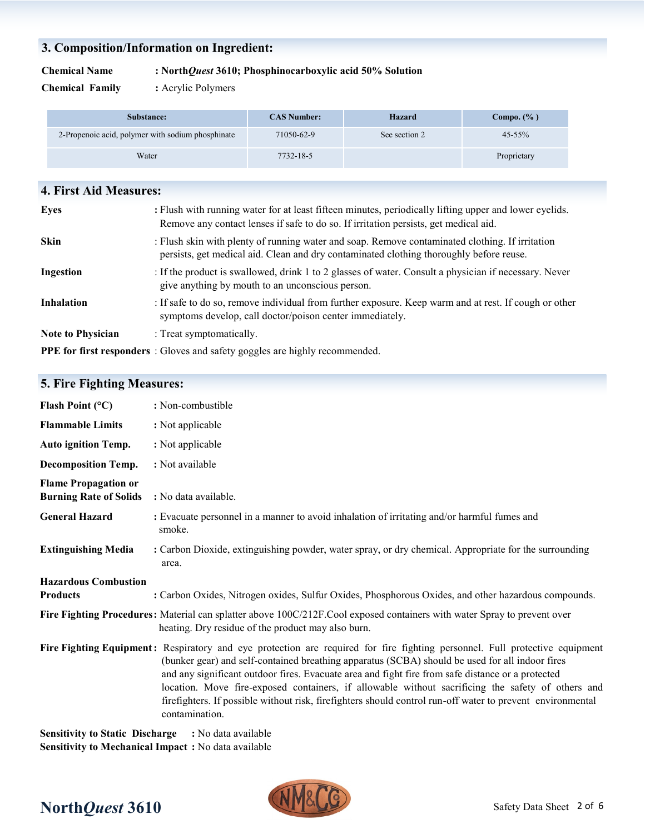# **3. Composition/Information on Ingredient:**

#### **Chemical Name : North***Quest* **3610; Phosphinocarboxylic acid 50% Solution**

**Chemical Family :** Acrylic Polymers

| Substance:                                        | <b>CAS Number:</b> | <b>Hazard</b> | Compo. $(\% )$ |
|---------------------------------------------------|--------------------|---------------|----------------|
| 2-Propenoic acid, polymer with sodium phosphinate | 71050-62-9         | See section 2 | $45 - 55\%$    |
| Water                                             | 7732-18-5          |               | Proprietary    |

| <b>4. First Aid Measures:</b> |                                                                                                                                                                                                |
|-------------------------------|------------------------------------------------------------------------------------------------------------------------------------------------------------------------------------------------|
| Eyes                          | : Flush with running water for at least fifteen minutes, periodically lifting upper and lower eyelids.<br>Remove any contact lenses if safe to do so. If irritation persists, get medical aid. |
| <b>Skin</b>                   | : Flush skin with plenty of running water and soap. Remove contaminated clothing. If irritation<br>persists, get medical aid. Clean and dry contaminated clothing thoroughly before reuse.     |
| Ingestion                     | : If the product is swallowed, drink 1 to 2 glasses of water. Consult a physician if necessary. Never<br>give anything by mouth to an unconscious person.                                      |
| <b>Inhalation</b>             | : If safe to do so, remove individual from further exposure. Keep warm and at rest. If cough or other<br>symptoms develop, call doctor/poison center immediately.                              |
| <b>Note to Physician</b>      | : Treat symptomatically.                                                                                                                                                                       |
|                               | <b>PPE for first responders</b> : Gloves and safety goggles are highly recommended.                                                                                                            |

# **5. Fire Fighting Measures:**

| Flash Point $(^{\circ}C)$                                    | : Non-combustible                                                                                                                                                                                                                                                                                                                                                                                                                                                                                                                                                        |
|--------------------------------------------------------------|--------------------------------------------------------------------------------------------------------------------------------------------------------------------------------------------------------------------------------------------------------------------------------------------------------------------------------------------------------------------------------------------------------------------------------------------------------------------------------------------------------------------------------------------------------------------------|
| <b>Flammable Limits</b>                                      | : Not applicable                                                                                                                                                                                                                                                                                                                                                                                                                                                                                                                                                         |
| <b>Auto ignition Temp.</b>                                   | : Not applicable                                                                                                                                                                                                                                                                                                                                                                                                                                                                                                                                                         |
| <b>Decomposition Temp.</b>                                   | : Not available                                                                                                                                                                                                                                                                                                                                                                                                                                                                                                                                                          |
| <b>Flame Propagation or</b><br><b>Burning Rate of Solids</b> | : No data available.                                                                                                                                                                                                                                                                                                                                                                                                                                                                                                                                                     |
| <b>General Hazard</b>                                        | : Evacuate personnel in a manner to avoid inhalation of irritating and/or harmful fumes and<br>smoke.                                                                                                                                                                                                                                                                                                                                                                                                                                                                    |
| <b>Extinguishing Media</b>                                   | : Carbon Dioxide, extinguishing powder, water spray, or dry chemical. Appropriate for the surrounding<br>area.                                                                                                                                                                                                                                                                                                                                                                                                                                                           |
| <b>Hazardous Combustion</b>                                  |                                                                                                                                                                                                                                                                                                                                                                                                                                                                                                                                                                          |
| <b>Products</b>                                              | : Carbon Oxides, Nitrogen oxides, Sulfur Oxides, Phosphorous Oxides, and other hazardous compounds.                                                                                                                                                                                                                                                                                                                                                                                                                                                                      |
|                                                              | Fire Fighting Procedures: Material can splatter above 100C/212F.Cool exposed containers with water Spray to prevent over<br>heating. Dry residue of the product may also burn.                                                                                                                                                                                                                                                                                                                                                                                           |
|                                                              | Fire Fighting Equipment: Respiratory and eye protection are required for fire fighting personnel. Full protective equipment<br>(bunker gear) and self-contained breathing apparatus (SCBA) should be used for all indoor fires<br>and any significant outdoor fires. Evacuate area and fight fire from safe distance or a protected<br>location. Move fire-exposed containers, if allowable without sacrificing the safety of others and<br>firefighters. If possible without risk, firefighters should control run-off water to prevent environmental<br>contamination. |
|                                                              | Considirity to Statio Discharge . No date evailable                                                                                                                                                                                                                                                                                                                                                                                                                                                                                                                      |

**Sensitivity to Static Discharge :** No data available **Sensitivity to Mechanical Impact :** No data available

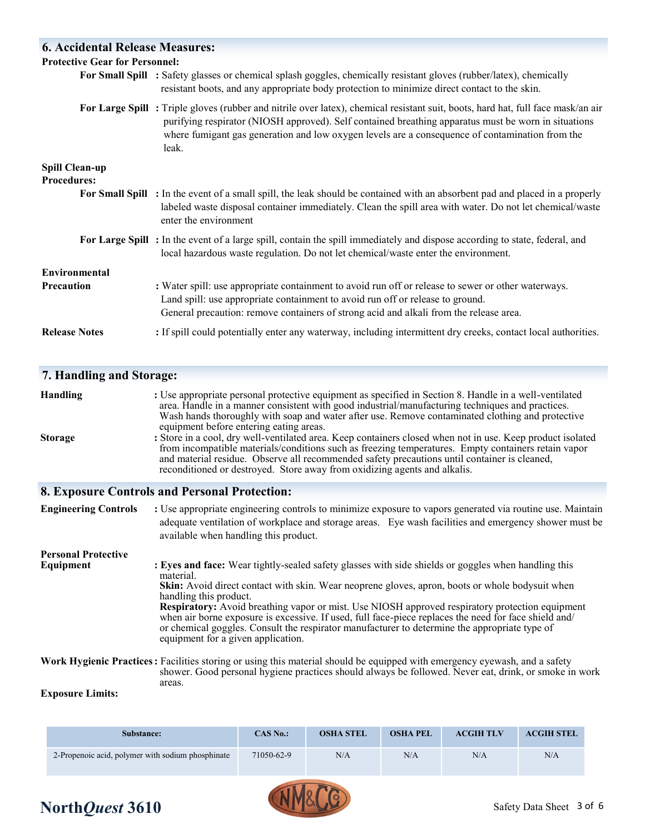| <b>6. Accidental Release Measures:</b>      |                                                                                                                                                                                                                                                                                                                                                           |
|---------------------------------------------|-----------------------------------------------------------------------------------------------------------------------------------------------------------------------------------------------------------------------------------------------------------------------------------------------------------------------------------------------------------|
| <b>Protective Gear for Personnel:</b>       |                                                                                                                                                                                                                                                                                                                                                           |
|                                             | For Small Spill : Safety glasses or chemical splash goggles, chemically resistant gloves (rubber/latex), chemically<br>resistant boots, and any appropriate body protection to minimize direct contact to the skin.                                                                                                                                       |
|                                             | For Large Spill: Triple gloves (rubber and nitrile over latex), chemical resistant suit, boots, hard hat, full face mask/an air<br>purifying respirator (NIOSH approved). Self contained breathing apparatus must be worn in situations<br>where fumigant gas generation and low oxygen levels are a consequence of contamination from the<br>leak.       |
| <b>Spill Clean-up</b><br><b>Procedures:</b> |                                                                                                                                                                                                                                                                                                                                                           |
|                                             | For Small Spill : In the event of a small spill, the leak should be contained with an absorbent pad and placed in a properly<br>labeled waste disposal container immediately. Clean the spill area with water. Do not let chemical/waste<br>enter the environment                                                                                         |
|                                             | For Large Spill: In the event of a large spill, contain the spill immediately and dispose according to state, federal, and<br>local hazardous waste regulation. Do not let chemical/waste enter the environment.                                                                                                                                          |
| Environmental                               |                                                                                                                                                                                                                                                                                                                                                           |
| <b>Precaution</b>                           | : Water spill: use appropriate containment to avoid run off or release to sewer or other waterways.<br>Land spill: use appropriate containment to avoid run off or release to ground.<br>General precaution: remove containers of strong acid and alkali from the release area.                                                                           |
| <b>Release Notes</b>                        | : If spill could potentially enter any waterway, including intermittent dry creeks, contact local authorities.                                                                                                                                                                                                                                            |
| 7. Handling and Storage:                    |                                                                                                                                                                                                                                                                                                                                                           |
| <b>Handling</b>                             | : Use appropriate personal protective equipment as specified in Section 8. Handle in a well-ventilated<br>area. Handle in a manner consistent with good industrial/manufacturing techniques and practices.<br>Wash hands thoroughly with soap and water after use. Remove contaminated clothing and protective<br>equipment before entering eating areas. |

**Storage : Store in a cool, dry well-ventilated area. Keep containers closed when not in use. Keep product isolated**  from incompatible materials/conditions such as freezing temperatures. Empty containers retain vapor and material residue. Observe all recommended safety precautions until container is cleaned, reconditioned or destroyed. Store away from oxidizing agents and alkalis.

#### **8. Exposure Controls and Personal Protection:**

**Engineering Controls :** Use appropriate engineering controls to minimize exposure to vapors generated via routine use. Maintain adequate ventilation of workplace and storage areas. Eye wash facilities and emergency shower must be available when handling this product.

#### **Personal Protective Equipment** : Eyes and face: Wear tightly-sealed safety glasses with side shields or goggles when handling this material. **Skin:** Avoid direct contact with skin. Wear neoprene gloves, apron, boots or whole bodysuit when handling this product. **Respiratory:** Avoid breathing vapor or mist. Use NIOSH approved respiratory protection equipment when air borne exposure is excessive. If used, full face-piece replaces the need for face shield and/ or chemical goggles. Consult the respirator manufacturer to determine the appropriate type of equipment for a given application. **Work Hygienic Practices:** Facilities storing or using this material should be equipped with emergency eyewash, and a safety

 shower. Good personal hygiene practices should always be followed. Never eat, drink, or smoke in work areas.

#### **Exposure Limits:**

| Substance:                                        | CAS No.:   | <b>OSHA STEL</b> | <b>OSHA PEL</b> | <b>ACGIH TLV</b> | <b>ACGIH STEL</b> |
|---------------------------------------------------|------------|------------------|-----------------|------------------|-------------------|
| 2-Propenoic acid, polymer with sodium phosphinate | 71050-62-9 | N/A              | N/A             | N/A              | N/A               |



# **North***Quest* 3610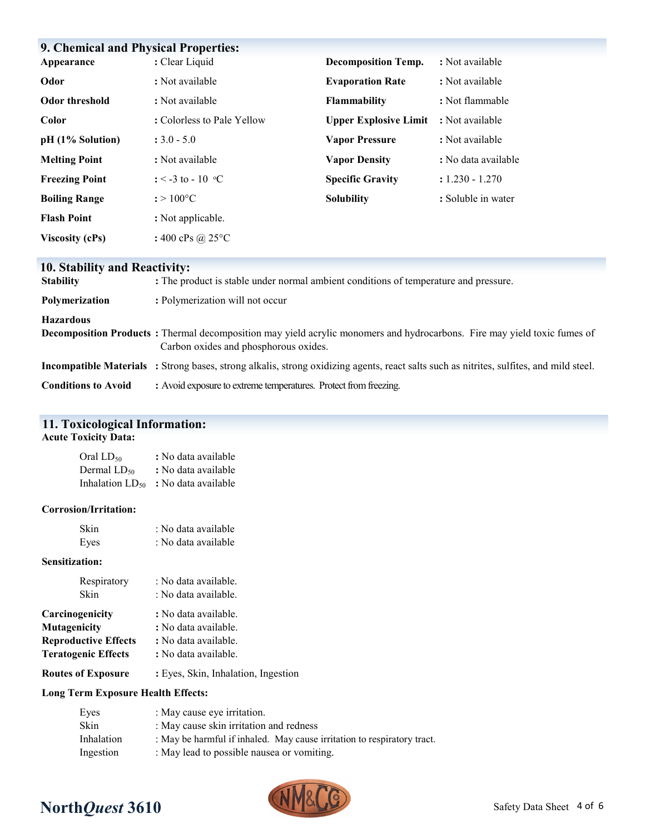| <b>9. Chemical and Physical Properties:</b> |                                 |                              |                     |
|---------------------------------------------|---------------------------------|------------------------------|---------------------|
| Appearance                                  | : Clear Liquid                  | <b>Decomposition Temp.</b>   | : Not available     |
| Odor                                        | : Not available                 | <b>Evaporation Rate</b>      | : Not available     |
| Odor threshold                              | : Not available                 | Flammability                 | : Not flammable     |
| Color                                       | : Colorless to Pale Yellow      | <b>Upper Explosive Limit</b> | : Not available     |
| pH (1% Solution)                            | $: 3.0 - 5.0$                   | <b>Vapor Pressure</b>        | : Not available     |
| <b>Melting Point</b>                        | : Not available                 | <b>Vapor Density</b>         | : No data available |
| <b>Freezing Point</b>                       | $\div$ < −3 to − 10 °C          | <b>Specific Gravity</b>      | $: 1.230 - 1.270$   |
| <b>Boiling Range</b>                        | $: > 100^{\circ}C$              | <b>Solubility</b>            | : Soluble in water  |
| <b>Flash Point</b>                          | : Not applicable.               |                              |                     |
| <b>Viscosity (cPs)</b>                      | : 400 cPs @ 25 $\rm{^{\circ}C}$ |                              |                     |

## **10. Stability and Reactivity:**

| <b>Stability</b>           | : The product is stable under normal ambient conditions of temperature and pressure.                                                                                      |
|----------------------------|---------------------------------------------------------------------------------------------------------------------------------------------------------------------------|
| <b>Polymerization</b>      | : Polymerization will not occur                                                                                                                                           |
| <b>Hazardous</b>           | <b>Decomposition Products</b> : Thermal decomposition may yield acrylic monomers and hydrocarbons. Fire may yield toxic fumes of<br>Carbon oxides and phosphorous oxides. |
|                            | <b>Incompatible Materials</b> : Strong bases, strong alkalis, strong oxidizing agents, react salts such as nitrites, sulfites, and mild steel.                            |
| <b>Conditions to Avoid</b> | : Avoid exposure to extreme temperatures. Protect from freezing.                                                                                                          |

# **11. Toxicological Information:**

#### **Acute Toxicity Data:**

| Oral LD <sub>50</sub>       | : No data available |
|-----------------------------|---------------------|
| Dermal LD50                 | : No data available |
| Inhalation LD <sub>50</sub> | : No data available |

#### **Corrosion/Irritation:**

| Skin | : No data available |
|------|---------------------|
| Eyes | : No data available |

#### **Sensitization:**

| Respiratory<br>Skin         | : No data available.<br>: No data available. |  |  |
|-----------------------------|----------------------------------------------|--|--|
| Carcinogenicity             | : No data available.                         |  |  |
| Mutagenicity                | : No data available.                         |  |  |
| <b>Reproductive Effects</b> | : No data available.                         |  |  |
| <b>Teratogenic Effects</b>  | : No data available.                         |  |  |
| <b>Routes of Exposure</b>   | : Eyes, Skin, Inhalation, Ingestion          |  |  |

#### **Long Term Exposure Health Effects:**

| Eyes       | : May cause eye irritation.                                             |
|------------|-------------------------------------------------------------------------|
| Skin       | : May cause skin irritation and redness                                 |
| Inhalation | : May be harmful if inhaled. May cause irritation to respiratory tract. |
| Ingestion  | : May lead to possible nausea or vomiting.                              |



# $\sqrt{\frac{2}{10}}$  North*Quest* 3610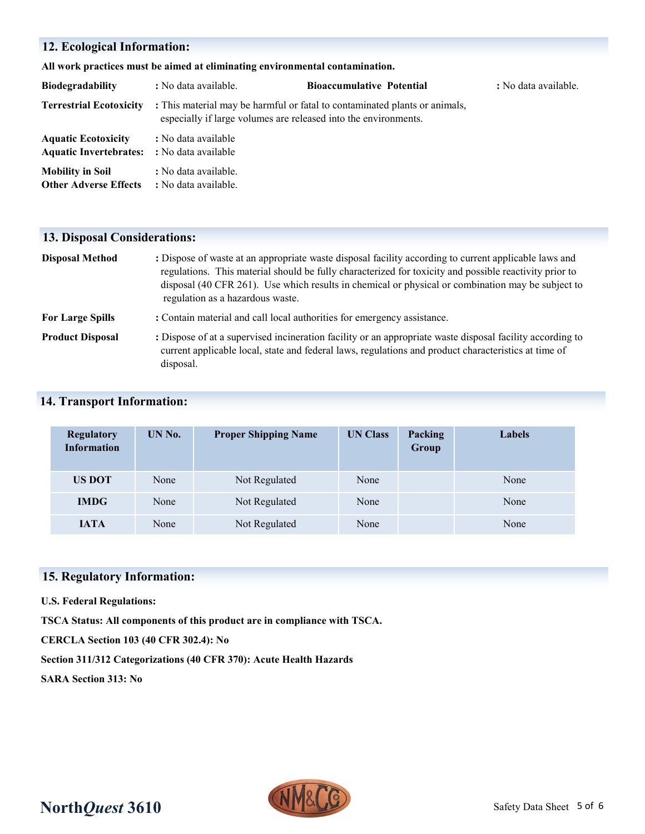## **12. Ecological Information:**

**All work practices must be aimed at eliminating environmental contamination.** 

| <b>Biodegradability</b>                                     | : No data available.                                            | <b>Bioaccumulative Potential</b>                                           | : No data available. |
|-------------------------------------------------------------|-----------------------------------------------------------------|----------------------------------------------------------------------------|----------------------|
| <b>Terrestrial Ecotoxicity</b>                              | especially if large volumes are released into the environments. | : This material may be harmful or fatal to contaminated plants or animals, |                      |
| <b>Aquatic Ecotoxicity</b><br><b>Aquatic Invertebrates:</b> | : No data available<br>: No data available                      |                                                                            |                      |
| <b>Mobility in Soil</b><br><b>Other Adverse Effects</b>     | : No data available.<br>: No data available.                    |                                                                            |                      |

### **13. Disposal Considerations:**

| <b>Disposal Method</b>  | : Dispose of waste at an appropriate waste disposal facility according to current applicable laws and<br>regulations. This material should be fully characterized for toxicity and possible reactivity prior to<br>disposal (40 CFR 261). Use which results in chemical or physical or combination may be subject to<br>regulation as a hazardous waste. |
|-------------------------|----------------------------------------------------------------------------------------------------------------------------------------------------------------------------------------------------------------------------------------------------------------------------------------------------------------------------------------------------------|
| <b>For Large Spills</b> | : Contain material and call local authorities for emergency assistance.                                                                                                                                                                                                                                                                                  |
| <b>Product Disposal</b> | : Dispose of at a supervised incineration facility or an appropriate waste disposal facility according to<br>current applicable local, state and federal laws, regulations and product characteristics at time of                                                                                                                                        |

## **14. Transport Information:**

disposal.

| <b>Regulatory</b><br><b>Information</b> | UN No. | <b>Proper Shipping Name</b> | <b>UN Class</b> | Packing<br>Group | <b>Labels</b> |
|-----------------------------------------|--------|-----------------------------|-----------------|------------------|---------------|
| <b>US DOT</b>                           | None   | Not Regulated               | None            |                  | None          |
| <b>IMDG</b>                             | None   | Not Regulated               | None            |                  | None          |
| <b>IATA</b>                             | None   | Not Regulated               | None            |                  | None          |

## **15. Regulatory Information:**

**U.S. Federal Regulations:**

**TSCA Status: All components of this product are in compliance with TSCA.**

**CERCLA Section 103 (40 CFR 302.4): No**

**Section 311/312 Categorizations (40 CFR 370): Acute Health Hazards**

**SARA Section 313: No**